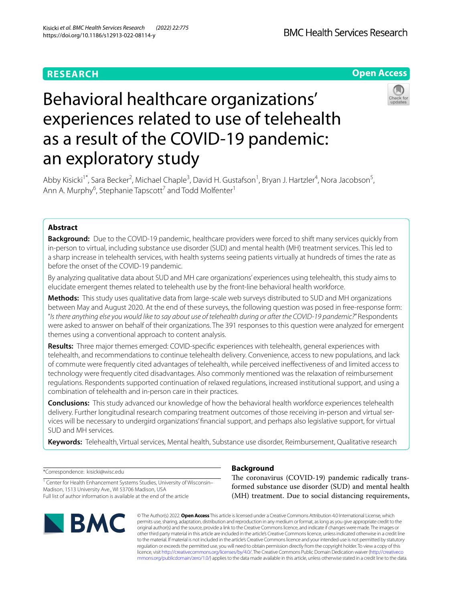# **RESEARCH**

**BMC Health Services Research** 

**Open Access**

# Behavioral healthcare organizations' experiences related to use of telehealth as a result of the COVID-19 pandemic: an exploratory study



Abby Kisicki<sup>1\*</sup>, Sara Becker<sup>2</sup>, Michael Chaple<sup>3</sup>, David H. Gustafson<sup>1</sup>, Bryan J. Hartzler<sup>4</sup>, Nora Jacobson<sup>5</sup>, Ann A. Murphy<sup>6</sup>, Stephanie Tapscott<sup>7</sup> and Todd Molfenter<sup>1</sup>

# **Abstract**

**Background:** Due to the COVID-19 pandemic, healthcare providers were forced to shift many services quickly from in-person to virtual, including substance use disorder (SUD) and mental health (MH) treatment services. This led to a sharp increase in telehealth services, with health systems seeing patients virtually at hundreds of times the rate as before the onset of the COVID-19 pandemic.

By analyzing qualitative data about SUD and MH care organizations' experiences using telehealth, this study aims to elucidate emergent themes related to telehealth use by the front-line behavioral health workforce.

**Methods:** This study uses qualitative data from large-scale web surveys distributed to SUD and MH organizations between May and August 2020. At the end of these surveys, the following question was posed in free-response form: "*Is there anything else you would like to say about use of telehealth during or after the COVID-19 pandemic?*" Respondents were asked to answer on behalf of their organizations. The 391 responses to this question were analyzed for emergent themes using a conventional approach to content analysis.

**Results:** Three major themes emerged: COVID-specifc experiences with telehealth, general experiences with telehealth, and recommendations to continue telehealth delivery. Convenience, access to new populations, and lack of commute were frequently cited advantages of telehealth, while perceived inefectiveness of and limited access to technology were frequently cited disadvantages. Also commonly mentioned was the relaxation of reimbursement regulations. Respondents supported continuation of relaxed regulations, increased institutional support, and using a combination of telehealth and in-person care in their practices.

**Conclusions:** This study advanced our knowledge of how the behavioral health workforce experiences telehealth delivery. Further longitudinal research comparing treatment outcomes of those receiving in-person and virtual services will be necessary to undergird organizations' fnancial support, and perhaps also legislative support, for virtual SUD and MH services.

**Keywords:** Telehealth, Virtual services, Mental health, Substance use disorder, Reimbursement, Qualitative research

\*Correspondence: kisicki@wisc.edu

<sup>1</sup> Center for Health Enhancement Systems Studies, University of Wisconsin-Madison, 1513 University Ave., WI 53706 Madison, USA Full list of author information is available at the end of the article



# **Background**

The coronavirus (COVID-19) pandemic radically transformed substance use disorder (SUD) and mental health (MH) treatment. Due to social distancing requirements,

© The Author(s) 2022. **Open Access** This article is licensed under a Creative Commons Attribution 4.0 International License, which permits use, sharing, adaptation, distribution and reproduction in any medium or format, as long as you give appropriate credit to the original author(s) and the source, provide a link to the Creative Commons licence, and indicate if changes were made. The images or other third party material in this article are included in the article's Creative Commons licence, unless indicated otherwise in a credit line to the material. If material is not included in the article's Creative Commons licence and your intended use is not permitted by statutory regulation or exceeds the permitted use, you will need to obtain permission directly from the copyright holder. To view a copy of this licence, visit [http://creativecommons.org/licenses/by/4.0/.](http://creativecommons.org/licenses/by/4.0/) The Creative Commons Public Domain Dedication waiver ([http://creativeco](http://creativecommons.org/publicdomain/zero/1.0/) [mmons.org/publicdomain/zero/1.0/](http://creativecommons.org/publicdomain/zero/1.0/)) applies to the data made available in this article, unless otherwise stated in a credit line to the data.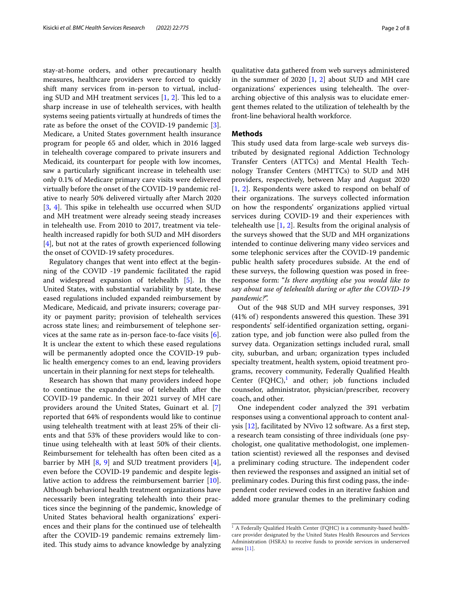stay-at-home orders, and other precautionary health measures, healthcare providers were forced to quickly shift many services from in-person to virtual, including SUD and MH treatment services  $[1, 2]$  $[1, 2]$  $[1, 2]$  $[1, 2]$ . This led to a sharp increase in use of telehealth services, with health systems seeing patients virtually at hundreds of times the rate as before the onset of the COVID-19 pandemic [\[3](#page-7-2)]. Medicare, a United States government health insurance program for people 65 and older, which in 2016 lagged in telehealth coverage compared to private insurers and Medicaid, its counterpart for people with low incomes, saw a particularly signifcant increase in telehealth use: only 0.1% of Medicare primary care visits were delivered virtually before the onset of the COVID-19 pandemic relative to nearly 50% delivered virtually after March 2020 [[3,](#page-7-2) [4\]](#page-7-3). This spike in telehealth use occurred when SUD and MH treatment were already seeing steady increases in telehealth use. From 2010 to 2017, treatment via telehealth increased rapidly for both SUD and MH disorders [[4\]](#page-7-3), but not at the rates of growth experienced following the onset of COVID-19 safety procedures.

Regulatory changes that went into efect at the beginning of the COVID -19 pandemic facilitated the rapid and widespread expansion of telehealth [[5\]](#page-7-4). In the United States, with substantial variability by state, these eased regulations included expanded reimbursement by Medicare, Medicaid, and private insurers; coverage parity or payment parity; provision of telehealth services across state lines; and reimbursement of telephone services at the same rate as in-person face-to-face visits [\[6](#page-7-5)]. It is unclear the extent to which these eased regulations will be permanently adopted once the COVID-19 public health emergency comes to an end, leaving providers uncertain in their planning for next steps for telehealth.

Research has shown that many providers indeed hope to continue the expanded use of telehealth after the COVID-19 pandemic. In their 2021 survey of MH care providers around the United States, Guinart et al. [\[7](#page-7-6)] reported that 64% of respondents would like to continue using telehealth treatment with at least 25% of their clients and that 53% of these providers would like to continue using telehealth with at least 50% of their clients. Reimbursement for telehealth has often been cited as a barrier by MH [[8,](#page-7-7) [9](#page-7-8)] and SUD treatment providers [\[4](#page-7-3)], even before the COVID-19 pandemic and despite legislative action to address the reimbursement barrier [\[10](#page-7-9)]. Although behavioral health treatment organizations have necessarily been integrating telehealth into their practices since the beginning of the pandemic, knowledge of United States behavioral health organizations' experiences and their plans for the continued use of telehealth after the COVID-19 pandemic remains extremely limited. This study aims to advance knowledge by analyzing

qualitative data gathered from web surveys administered in the summer of 2020  $[1, 2]$  $[1, 2]$  $[1, 2]$  about SUD and MH care organizations' experiences using telehealth. The overarching objective of this analysis was to elucidate emergent themes related to the utilization of telehealth by the front-line behavioral health workforce.

# **Methods**

This study used data from large-scale web surveys distributed by designated regional Addiction Technology Transfer Centers (ATTCs) and Mental Health Technology Transfer Centers (MHTTCs) to SUD and MH providers, respectively, between May and August 2020 [[1,](#page-7-0) [2\]](#page-7-1). Respondents were asked to respond on behalf of their organizations. The surveys collected information on how the respondents' organizations applied virtual services during COVID-19 and their experiences with telehealth use [\[1](#page-7-0), [2](#page-7-1)]. Results from the original analysis of the surveys showed that the SUD and MH organizations intended to continue delivering many video services and some telephonic services after the COVID-19 pandemic public health safety procedures subside. At the end of these surveys, the following question was posed in freeresponse form: "*Is there anything else you would like to say about use of telehealth during or after the COVID-19 pandemic?*".

Out of the 948 SUD and MH survey responses, 391  $(41\% \text{ of})$  respondents answered this question. These 391 respondents' self-identifed organization setting, organization type, and job function were also pulled from the survey data. Organization settings included rural, small city, suburban, and urban; organization types included specialty treatment, health system, opioid treatment programs, recovery community, Federally Qualifed Health Center  $(FQHC),<sup>1</sup>$  $(FQHC),<sup>1</sup>$  $(FQHC),<sup>1</sup>$  and other; job functions included counselor, administrator, physician/prescriber, recovery coach, and other.

One independent coder analyzed the 391 verbatim responses using a conventional approach to content analysis [\[12](#page-7-10)], facilitated by NVivo 12 software. As a frst step, a research team consisting of three individuals (one psychologist, one qualitative methodologist, one implementation scientist) reviewed all the responses and devised a preliminary coding structure. The independent coder then reviewed the responses and assigned an initial set of preliminary codes. During this frst coding pass, the independent coder reviewed codes in an iterative fashion and added more granular themes to the preliminary coding

<span id="page-1-0"></span><sup>&</sup>lt;sup>1</sup> A Federally Qualified Health Center (FQHC) is a community-based healthcare provider designated by the United States Health Resources and Services Administration (HSRA) to receive funds to provide services in underserved areas [\[11](#page-7-11)].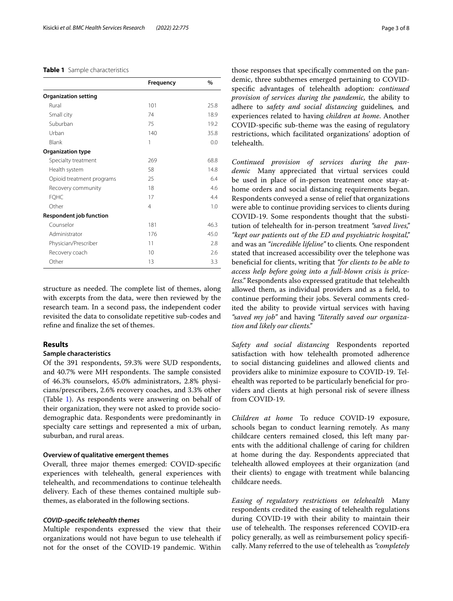## <span id="page-2-0"></span>**Table 1** Sample characteristics

|                                | Frequency      | $\frac{0}{0}$ |
|--------------------------------|----------------|---------------|
| <b>Organization setting</b>    |                |               |
| Rural                          | 101            | 25.8          |
| Small city                     | 74             | 18.9          |
| Suburban                       | 75             | 19.2          |
| Urban                          | 140            | 35.8          |
| Blank                          | 1              | 0.0           |
| <b>Organization type</b>       |                |               |
| Specialty treatment            | 269            | 68.8          |
| Health system                  | 58             | 14.8          |
| Opioid treatment programs      | 25             | 6.4           |
| Recovery community             | 18             | 4.6           |
| <b>FQHC</b>                    | 17             | 4.4           |
| Other                          | $\overline{4}$ | 1.0           |
| <b>Respondent job function</b> |                |               |
| Counselor                      | 181            | 46.3          |
| Administrator                  | 176            | 45.0          |
| Physician/Prescriber           | 11             | 2.8           |
| Recovery coach                 | 10             | 2.6           |
| Other                          | 13             | 3.3           |

structure as needed. The complete list of themes, along with excerpts from the data, were then reviewed by the research team. In a second pass, the independent coder revisited the data to consolidate repetitive sub-codes and refne and fnalize the set of themes.

# **Results**

# **Sample characteristics**

Of the 391 respondents, 59.3% were SUD respondents, and 40.7% were MH respondents. The sample consisted of 46.3% counselors, 45.0% administrators, 2.8% physicians/prescribers, 2.6% recovery coaches, and 3.3% other (Table [1](#page-2-0)). As respondents were answering on behalf of their organization, they were not asked to provide sociodemographic data. Respondents were predominantly in specialty care settings and represented a mix of urban, suburban, and rural areas.

# **Overview of qualitative emergent themes**

Overall, three major themes emerged: COVID-specifc experiences with telehealth, general experiences with telehealth, and recommendations to continue telehealth delivery. Each of these themes contained multiple subthemes, as elaborated in the following sections.

# *COVID‑specifc telehealth themes*

Multiple respondents expressed the view that their organizations would not have begun to use telehealth if not for the onset of the COVID-19 pandemic. Within those responses that specifcally commented on the pandemic, three subthemes emerged pertaining to COVIDspecifc advantages of telehealth adoption: *continued provision of services during the pandemic,* the ability to adhere to *safety and social distancing* guidelines*,* and experiences related to having *children at home*. Another COVID-specifc sub-theme was the easing of regulatory restrictions, which facilitated organizations' adoption of telehealth.

*Continued provision of services during the pandemic* Many appreciated that virtual services could be used in place of in-person treatment once stay-athome orders and social distancing requirements began. Respondents conveyed a sense of relief that organizations were able to continue providing services to clients during COVID-19. Some respondents thought that the substitution of telehealth for in-person treatment *"saved lives," "kept our patients out of the ED and psychiatric hospital,"* and was an *"incredible lifeline"* to clients*.* One respondent stated that increased accessibility over the telephone was benefcial for clients, writing that *"for clients to be able to access help before going into a full-blown crisis is priceless."* Respondents also expressed gratitude that telehealth allowed them, as individual providers and as a feld, to continue performing their jobs. Several comments credited the ability to provide virtual services with having *"saved my job"* and having *"literally saved our organization and likely our clients."*

*Safety and social distancing* Respondents reported satisfaction with how telehealth promoted adherence to social distancing guidelines and allowed clients and providers alike to minimize exposure to COVID-19. Telehealth was reported to be particularly benefcial for providers and clients at high personal risk of severe illness from COVID-19.

*Children at home* To reduce COVID-19 exposure, schools began to conduct learning remotely. As many childcare centers remained closed, this left many parents with the additional challenge of caring for children at home during the day. Respondents appreciated that telehealth allowed employees at their organization (and their clients) to engage with treatment while balancing childcare needs.

*Easing of regulatory restrictions on telehealth* Many respondents credited the easing of telehealth regulations during COVID-19 with their ability to maintain their use of telehealth. The responses referenced COVID-era policy generally, as well as reimbursement policy specifcally. Many referred to the use of telehealth as *"completely*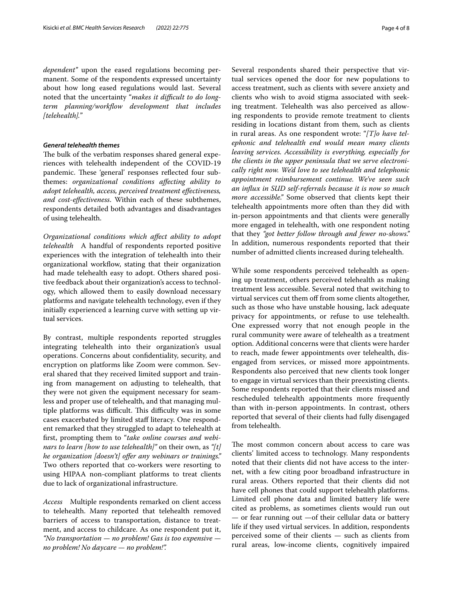*dependent"* upon the eased regulations becoming permanent. Some of the respondents expressed uncertainty about how long eased regulations would last. Several noted that the uncertainty "*makes it difcult to do long*term planning/workflow development that includes *[telehealth].*"

# *General telehealth themes*

The bulk of the verbatim responses shared general experiences with telehealth independent of the COVID-19 pandemic. These 'general' responses reflected four subthemes: *organizational conditions afecting ability to adopt telehealth, access, perceived treatment efectiveness, and cost-efectiveness*. Within each of these subthemes, respondents detailed both advantages and disadvantages of using telehealth.

*Organizational conditions which afect ability to adopt telehealth* A handful of respondents reported positive experiences with the integration of telehealth into their organizational workflow, stating that their organization had made telehealth easy to adopt. Others shared positive feedback about their organization's access to technology, which allowed them to easily download necessary platforms and navigate telehealth technology, even if they initially experienced a learning curve with setting up virtual services.

By contrast, multiple respondents reported struggles integrating telehealth into their organization's usual operations. Concerns about confdentiality, security, and encryption on platforms like Zoom were common. Several shared that they received limited support and training from management on adjusting to telehealth, that they were not given the equipment necessary for seamless and proper use of telehealth, and that managing multiple platforms was difficult. This difficulty was in some cases exacerbated by limited staf literacy. One respondent remarked that they struggled to adapt to telehealth at frst, prompting them to "*take online courses and webinars to learn [how to use telehealth]"* on their own, as *"[t] he organization [doesn't] ofer any webinars or trainings."* Two others reported that co-workers were resorting to using HIPAA non-compliant platforms to treat clients due to lack of organizational infrastructure.

*Access* Multiple respondents remarked on client access to telehealth. Many reported that telehealth removed barriers of access to transportation, distance to treatment, and access to childcare. As one respondent put it, *"No transportation — no problem! Gas is too expensive no problem! No daycare — no problem!".*

Several respondents shared their perspective that virtual services opened the door for new populations to access treatment, such as clients with severe anxiety and clients who wish to avoid stigma associated with seeking treatment. Telehealth was also perceived as allowing respondents to provide remote treatment to clients residing in locations distant from them, such as clients in rural areas. As one respondent wrote: "*[T]o have telephonic and telehealth end would mean many clients leaving services. Accessibility is everything, especially for the clients in the upper peninsula that we serve electronically right now. We'd love to see telehealth and telephonic appointment reimbursement continue. We've seen such an infux in SUD self-referrals because it is now so much more accessible."* Some observed that clients kept their telehealth appointments more often than they did with in-person appointments and that clients were generally more engaged in telehealth, with one respondent noting that they *"got better follow through and fewer no-shows."* In addition, numerous respondents reported that their number of admitted clients increased during telehealth.

While some respondents perceived telehealth as opening up treatment, others perceived telehealth as making treatment less accessible. Several noted that switching to virtual services cut them off from some clients altogether, such as those who have unstable housing, lack adequate privacy for appointments, or refuse to use telehealth. One expressed worry that not enough people in the rural community were aware of telehealth as a treatment option. Additional concerns were that clients were harder to reach, made fewer appointments over telehealth, disengaged from services, or missed more appointments. Respondents also perceived that new clients took longer to engage in virtual services than their preexisting clients. Some respondents reported that their clients missed and rescheduled telehealth appointments more frequently than with in-person appointments. In contrast, others reported that several of their clients had fully disengaged from telehealth.

The most common concern about access to care was clients' limited access to technology. Many respondents noted that their clients did not have access to the internet, with a few citing poor broadband infrastructure in rural areas. Others reported that their clients did not have cell phones that could support telehealth platforms. Limited cell phone data and limited battery life were cited as problems, as sometimes clients would run out — or fear running out —of their cellular data or battery life if they used virtual services. In addition, respondents perceived some of their clients — such as clients from rural areas, low-income clients, cognitively impaired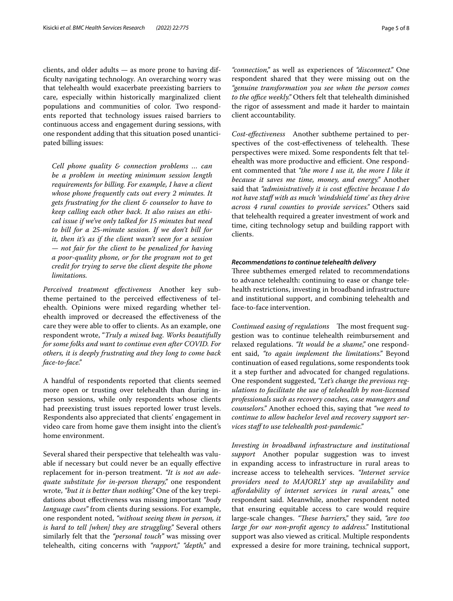clients, and older adults — as more prone to having diffculty navigating technology. An overarching worry was that telehealth would exacerbate preexisting barriers to care, especially within historically marginalized client populations and communities of color. Two respondents reported that technology issues raised barriers to continuous access and engagement during sessions, with one respondent adding that this situation posed unanticipated billing issues:

*Cell phone quality & connection problems … can be a problem in meeting minimum session length requirements for billing. For example, I have a client whose phone frequently cuts out every 2 minutes. It gets frustrating for the client & counselor to have to keep calling each other back. It also raises an ethical issue if we've only talked for 15 minutes but need to bill for a 25-minute session. If we don't bill for it, then it's as if the client wasn't seen for a session — not fair for the client to be penalized for having a poor-quality phone, or for the program not to get credit for trying to serve the client despite the phone limitations.*

*Perceived treatment efectiveness* Another key subtheme pertained to the perceived efectiveness of telehealth. Opinions were mixed regarding whether telehealth improved or decreased the efectiveness of the care they were able to offer to clients. As an example, one respondent wrote, "*Truly a mixed bag*. *Works beautifully for some folks and want to continue even after COVID. For others, it is deeply frustrating and they long to come back face-to-face."*

A handful of respondents reported that clients seemed more open or trusting over telehealth than during inperson sessions, while only respondents whose clients had preexisting trust issues reported lower trust levels. Respondents also appreciated that clients' engagement in video care from home gave them insight into the client's home environment.

Several shared their perspective that telehealth was valuable if necessary but could never be an equally efective replacement for in-person treatment. *"It is not an adequate substitute for in-person therapy,"* one respondent wrote, *"but it is better than nothing."* One of the key trepidations about efectiveness was missing important *"body language cues"* from clients during sessions. For example, one respondent noted, *"without seeing them in person, it is hard to tell [when] they are struggling."* Several others similarly felt that the *"personal touch"* was missing over telehealth, citing concerns with *"rapport," "depth,"* and *"connection,"* as well as experiences of *"disconnect."* One respondent shared that they were missing out on the *"genuine transformation you see when the person comes*  to the office weekly." Others felt that telehealth diminished the rigor of assessment and made it harder to maintain client accountability.

*Cost-efectiveness* Another subtheme pertained to perspectives of the cost-effectiveness of telehealth. These perspectives were mixed. Some respondents felt that telehealth was more productive and efficient. One respondent commented that *"the more I use it, the more I like it because it saves me time, money, and energy."* Another said that *"administratively it is cost efective because I do not have staf with as much 'windshield time' as they drive across 4 rural counties to provide services."* Others said that telehealth required a greater investment of work and time, citing technology setup and building rapport with clients.

## *Recommendations to continue telehealth delivery*

Three subthemes emerged related to recommendations to advance telehealth: continuing to ease or change telehealth restrictions, investing in broadband infrastructure and institutional support, and combining telehealth and face-to-face intervention.

*Continued easing of regulations* The most frequent suggestion was to continue telehealth reimbursement and relaxed regulations. *"It would be a shame,"* one respondent said, *"to again implement the limitations."* Beyond continuation of eased regulations, some respondents took it a step further and advocated for changed regulations. One respondent suggested, *"Let's change the previous regulations to facilitate the use of telehealth by non-licensed professionals such as recovery coaches, case managers and counselors."* Another echoed this, saying that *"we need to continue to allow bachelor level and recovery support services staf to use telehealth post-pandemic."*

*Investing in broadband infrastructure and institutional support* Another popular suggestion was to invest in expanding access to infrastructure in rural areas to increase access to telehealth services. *"Internet service providers need to MAJORLY step up availability and afordability of internet services in rural areas,*" one respondent said. Meanwhile, another respondent noted that ensuring equitable access to care would require large-scale changes. "These barriers," they said, "are too *large for our non-proft agency to address."* Institutional support was also viewed as critical. Multiple respondents expressed a desire for more training, technical support,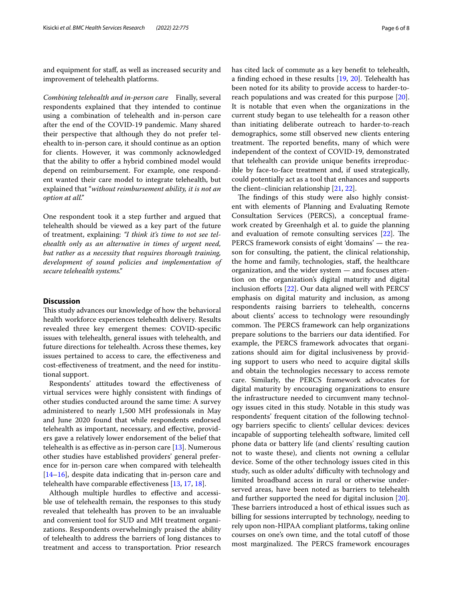and equipment for staf, as well as increased security and improvement of telehealth platforms.

*Combining telehealth and in-person care* Finally, several respondents explained that they intended to continue using a combination of telehealth and in-person care after the end of the COVID-19 pandemic. Many shared their perspective that although they do not prefer telehealth to in-person care*,* it should continue as an option for clients. However, it was commonly acknowledged that the ability to offer a hybrid combined model would depend on reimbursement. For example, one respondent wanted their care model to integrate telehealth, but explained that "*without reimbursement ability, it is not an option at all."*

One respondent took it a step further and argued that telehealth should be viewed as a key part of the future of treatment, explaining: *"I think it's time to not see telehealth only as an alternative in times of urgent need, but rather as a necessity that requires thorough training, development of sound policies and implementation of secure telehealth systems."*

# **Discussion**

This study advances our knowledge of how the behavioral health workforce experiences telehealth delivery. Results revealed three key emergent themes: COVID-specifc issues with telehealth, general issues with telehealth, and future directions for telehealth. Across these themes, key issues pertained to access to care, the efectiveness and cost-efectiveness of treatment, and the need for institutional support.

Respondents' attitudes toward the efectiveness of virtual services were highly consistent with fndings of other studies conducted around the same time: A survey administered to nearly 1,500 MH professionals in May and June 2020 found that while respondents endorsed telehealth as important, necessary, and efective, providers gave a relatively lower endorsement of the belief that telehealth is as efective as in-person care [[13](#page-7-12)]. Numerous other studies have established providers' general preference for in-person care when compared with telehealth [[14–](#page-7-13)[16](#page-7-14)], despite data indicating that in-person care and telehealth have comparable efectiveness [\[13](#page-7-12), [17,](#page-7-15) [18\]](#page-7-16).

Although multiple hurdles to efective and accessible use of telehealth remain, the responses to this study revealed that telehealth has proven to be an invaluable and convenient tool for SUD and MH treatment organizations. Respondents overwhelmingly praised the ability of telehealth to address the barriers of long distances to treatment and access to transportation. Prior research has cited lack of commute as a key beneft to telehealth, a fnding echoed in these results [[19,](#page-7-17) [20\]](#page-7-18). Telehealth has been noted for its ability to provide access to harder-toreach populations and was created for this purpose [\[20](#page-7-18)]. It is notable that even when the organizations in the current study began to use telehealth for a reason other than initiating deliberate outreach to harder-to-reach demographics, some still observed new clients entering treatment. The reported benefits, many of which were independent of the context of COVID-19, demonstrated that telehealth can provide unique benefts irreproducible by face-to-face treatment and, if used strategically, could potentially act as a tool that enhances and supports the client–clinician relationship [\[21](#page-7-19), [22\]](#page-7-20).

The findings of this study were also highly consistent with elements of Planning and Evaluating Remote Consultation Services (PERCS), a conceptual framework created by Greenhalgh et al. to guide the planning and evaluation of remote consulting services  $[22]$  $[22]$  $[22]$ . The PERCS framework consists of eight 'domains' — the reason for consulting, the patient, the clinical relationship, the home and family, technologies, staf, the healthcare organization, and the wider system — and focuses attention on the organization's digital maturity and digital inclusion eforts [\[22\]](#page-7-20). Our data aligned well with PERCS' emphasis on digital maturity and inclusion, as among respondents raising barriers to telehealth, concerns about clients' access to technology were resoundingly common. The PERCS framework can help organizations prepare solutions to the barriers our data identifed. For example, the PERCS framework advocates that organizations should aim for digital inclusiveness by providing support to users who need to acquire digital skills and obtain the technologies necessary to access remote care. Similarly, the PERCS framework advocates for digital maturity by encouraging organizations to ensure the infrastructure needed to circumvent many technology issues cited in this study. Notable in this study was respondents' frequent citation of the following technology barriers specifc to clients' cellular devices: devices incapable of supporting telehealth software, limited cell phone data or battery life (and clients' resulting caution not to waste these), and clients not owning a cellular device. Some of the other technology issues cited in this study, such as older adults' difficulty with technology and limited broadband access in rural or otherwise underserved areas, have been noted as barriers to telehealth and further supported the need for digital inclusion [\[20](#page-7-18)]. These barriers introduced a host of ethical issues such as billing for sessions interrupted by technology, needing to rely upon non-HIPAA compliant platforms, taking online courses on one's own time, and the total cutof of those most marginalized. The PERCS framework encourages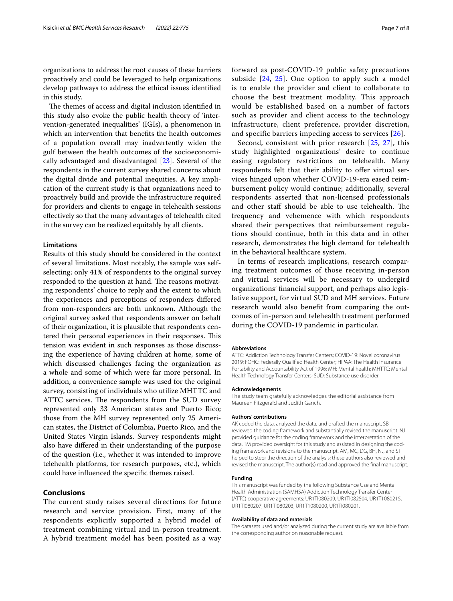organizations to address the root causes of these barriers proactively and could be leveraged to help organizations develop pathways to address the ethical issues identifed in this study.

The themes of access and digital inclusion identified in this study also evoke the public health theory of 'intervention-generated inequalities' (IGIs), a phenomenon in which an intervention that benefts the health outcomes of a population overall may inadvertently widen the gulf between the health outcomes of the socioeconomically advantaged and disadvantaged [\[23](#page-7-21)]. Several of the respondents in the current survey shared concerns about the digital divide and potential inequities. A key implication of the current study is that organizations need to proactively build and provide the infrastructure required for providers and clients to engage in telehealth sessions efectively so that the many advantages of telehealth cited in the survey can be realized equitably by all clients.

# **Limitations**

Results of this study should be considered in the context of several limitations. Most notably, the sample was selfselecting; only 41% of respondents to the original survey responded to the question at hand. The reasons motivating respondents' choice to reply and the extent to which the experiences and perceptions of responders difered from non-responders are both unknown. Although the original survey asked that respondents answer on behalf of their organization, it is plausible that respondents centered their personal experiences in their responses. This tension was evident in such responses as those discussing the experience of having children at home, some of which discussed challenges facing the organization as a whole and some of which were far more personal. In addition, a convenience sample was used for the original survey, consisting of individuals who utilize MHTTC and ATTC services. The respondents from the SUD survey represented only 33 American states and Puerto Rico; those from the MH survey represented only 25 American states, the District of Columbia, Puerto Rico, and the United States Virgin Islands. Survey respondents might also have difered in their understanding of the purpose of the question (i.e., whether it was intended to improve telehealth platforms, for research purposes, etc.), which could have infuenced the specifc themes raised.

# **Conclusions**

The current study raises several directions for future research and service provision. First, many of the respondents explicitly supported a hybrid model of treatment combining virtual and in-person treatment. A hybrid treatment model has been posited as a way forward as post-COVID-19 public safety precautions subside [[24,](#page-7-22) [25](#page-7-23)]. One option to apply such a model is to enable the provider and client to collaborate to choose the best treatment modality. This approach would be established based on a number of factors such as provider and client access to the technology infrastructure, client preference, provider discretion, and specific barriers impeding access to services [[26](#page-7-24)].

Second, consistent with prior research [[25](#page-7-23), [27\]](#page-7-25), this study highlighted organizations' desire to continue easing regulatory restrictions on telehealth. Many respondents felt that their ability to offer virtual services hinged upon whether COVID-19-era eased reimbursement policy would continue; additionally, several respondents asserted that non-licensed professionals and other staff should be able to use telehealth. The frequency and vehemence with which respondents shared their perspectives that reimbursement regulations should continue, both in this data and in other research, demonstrates the high demand for telehealth in the behavioral healthcare system.

In terms of research implications, research comparing treatment outcomes of those receiving in-person and virtual services will be necessary to undergird organizations' fnancial support, and perhaps also legislative support, for virtual SUD and MH services. Future research would also beneft from comparing the outcomes of in-person and telehealth treatment performed during the COVID-19 pandemic in particular.

#### **Abbreviations**

ATTC: Addiction Technology Transfer Centers; COVID-19: Novel coronavirus 2019; FQHC: Federally Qualifed Health Center; HIPAA: The Health Insurance Portability and Accountability Act of 1996; MH: Mental health; MHTTC: Mental Health Technology Transfer Centers; SUD: Substance use disorder.

#### **Acknowledgements**

The study team gratefully acknowledges the editorial assistance from Maureen Fitzgerald and Judith Ganch.

#### **Authors' contributions**

AK coded the data, analyzed the data, and drafted the manuscript. SB reviewed the coding framework and substantially revised the manuscript. NJ provided guidance for the coding framework and the interpretation of the data. TM provided oversight for this study and assisted in designing the coding framework and revisions to the manuscript. AM, MC, DG, BH, NJ, and ST helped to steer the direction of the analysis; these authors also reviewed and revised the manuscript. The author(s) read and approved the fnal manuscript.

#### **Funding**

This manuscript was funded by the following Substance Use and Mental Health Administration (SAMHSA) Addiction Technology Transfer Center (ATTC) cooperative agreements: UR1TI080209, UR1TI082504, UR1T1080215, UR1TI080207, UR1TI080203, UR1T1080200, UR1TI080201.

#### **Availability of data and materials**

The datasets used and/or analyzed during the current study are available from the corresponding author on reasonable request.